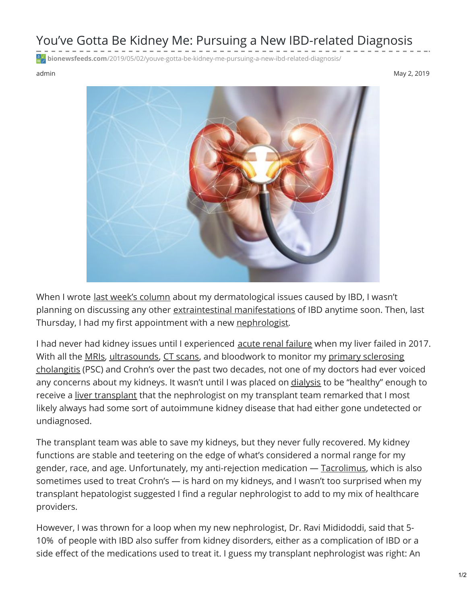## You've Gotta Be Kidney Me: Pursuing a New IBD-related Diagnosis

**bionewsfeeds.com**[/2019/05/02/youve-gotta-be-kidney-me-pursuing-a-new-ibd-related-diagnosis/](https://bionewsfeeds.com/2019/05/02/youve-gotta-be-kidney-me-pursuing-a-new-ibd-related-diagnosis/)

admin May 2, 2019



When I wrote last week's [column](https://ibdnewstoday.com/2019/04/25/dermatological-symptoms-ibd-pyoderma-gangrenosum-skin-deep/) about my dermatological issues caused by IBD, I wasn't planning on discussing any other extraintestinal [manifestations](https://www.ncbi.nlm.nih.gov/pmc/articles/PMC3127025/) of IBD anytime soon. Then, last Thursday, I had my first appointment with a new [nephrologist](https://www.davita.com/education/ckd-life/choosing-doctor/what-is-a-nephrologist).

I had never had kidney issues until I experienced acute renal [failure](https://www.mayoclinic.org/diseases-conditions/kidney-failure/symptoms-causes/syc-20369048) when my liver failed in 2017. With all the [MRIs](https://www.mayoclinic.org/tests-procedures/mri/about/pac-20384768), [ultrasound](https://www.mayoclinic.org/tests-procedures/ultrasound/about/pac-20395177)[s,](https://liverfoundation.org/for-patients/about-the-liver/diseases-of-the-liver/primary-sclerosing-cholangitis/) CT [scans](https://www.mayoclinic.org/tests-procedures/ct-scan/about/pac-20393675), and bloodwork to monitor my primary sclerosing cholangitis (PSC) and Crohn's over the past two decades, not one of my doctors had ever voiced any concerns about my kidneys. It wasn't until I was placed on [dialysis](https://www.kidney.org/atoz/content/dialysisinfo) to be "healthy" enough to receive a liver [transplant](https://www.mayoclinic.org/tests-procedures/liver-transplant/about/pac-20384842) that the nephrologist on my transplant team remarked that I most likely always had some sort of autoimmune kidney disease that had either gone undetected or undiagnosed.

The transplant team was able to save my kidneys, but they never fully recovered. My kidney functions are stable and teetering on the edge of what's considered a normal range for my gender, race, and age. Unfortunately, my anti-rejection medication — [Tacrolimus](https://medlineplus.gov/druginfo/meds/a601117.html), which is also sometimes used to treat Crohn's — is hard on my kidneys, and I wasn't too surprised when my transplant hepatologist suggested I find a regular nephrologist to add to my mix of healthcare providers.

However, I was thrown for a loop when my new nephrologist, Dr. Ravi Mididoddi, said that 5- 10% of people with IBD also suffer from kidney disorders, either as a complication of IBD or a side effect of the medications used to treat it. I guess my transplant nephrologist was right: An